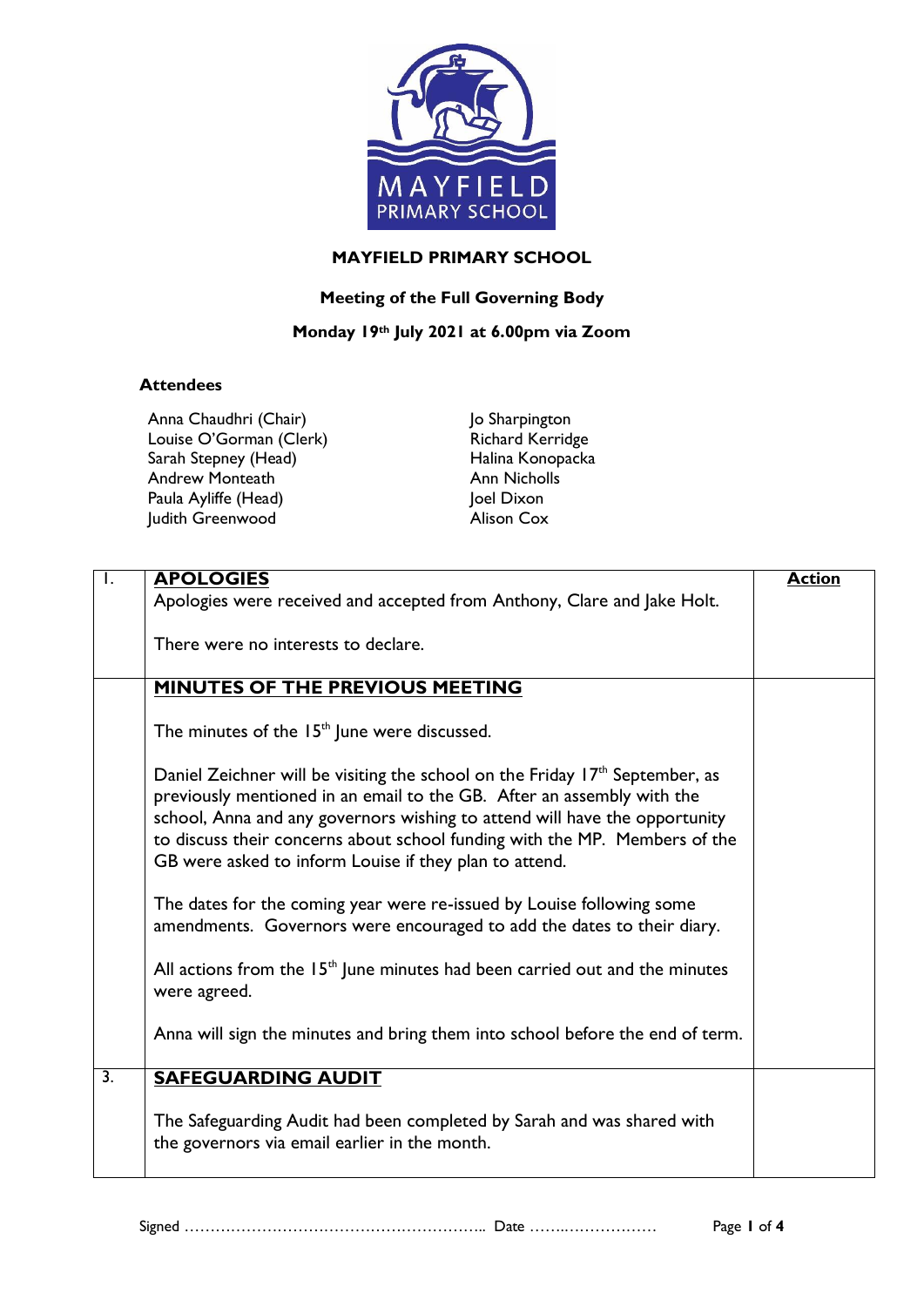

## **MAYFIELD PRIMARY SCHOOL**

## **Meeting of the Full Governing Body**

## **Monday 19th July 2021 at 6.00pm via Zoom**

## **Attendees**

Anna Chaudhri (Chair) Louise O'Gorman (Clerk) Sarah Stepney (Head) Andrew Monteath Paula Ayliffe (Head) Judith Greenwood

Jo Sharpington Richard Kerridge Halina Konopacka Ann Nicholls Joel Dixon Alison Cox

| $\overline{\phantom{a}}$ | <b>APOLOGIES</b>                                                                                                                                                                                                                                                                                                                                                                         | <b>Action</b> |
|--------------------------|------------------------------------------------------------------------------------------------------------------------------------------------------------------------------------------------------------------------------------------------------------------------------------------------------------------------------------------------------------------------------------------|---------------|
|                          | Apologies were received and accepted from Anthony, Clare and Jake Holt.                                                                                                                                                                                                                                                                                                                  |               |
|                          | There were no interests to declare.                                                                                                                                                                                                                                                                                                                                                      |               |
|                          | <b>MINUTES OF THE PREVIOUS MEETING</b>                                                                                                                                                                                                                                                                                                                                                   |               |
|                          | The minutes of the $15th$ June were discussed.                                                                                                                                                                                                                                                                                                                                           |               |
|                          | Daniel Zeichner will be visiting the school on the Friday 17 <sup>th</sup> September, as<br>previously mentioned in an email to the GB. After an assembly with the<br>school, Anna and any governors wishing to attend will have the opportunity<br>to discuss their concerns about school funding with the MP. Members of the<br>GB were asked to inform Louise if they plan to attend. |               |
|                          | The dates for the coming year were re-issued by Louise following some<br>amendments. Governors were encouraged to add the dates to their diary.                                                                                                                                                                                                                                          |               |
|                          | All actions from the $15th$ June minutes had been carried out and the minutes<br>were agreed.                                                                                                                                                                                                                                                                                            |               |
|                          | Anna will sign the minutes and bring them into school before the end of term.                                                                                                                                                                                                                                                                                                            |               |
| $\overline{3}$ .         | <b>SAFEGUARDING AUDIT</b>                                                                                                                                                                                                                                                                                                                                                                |               |
|                          | The Safeguarding Audit had been completed by Sarah and was shared with<br>the governors via email earlier in the month.                                                                                                                                                                                                                                                                  |               |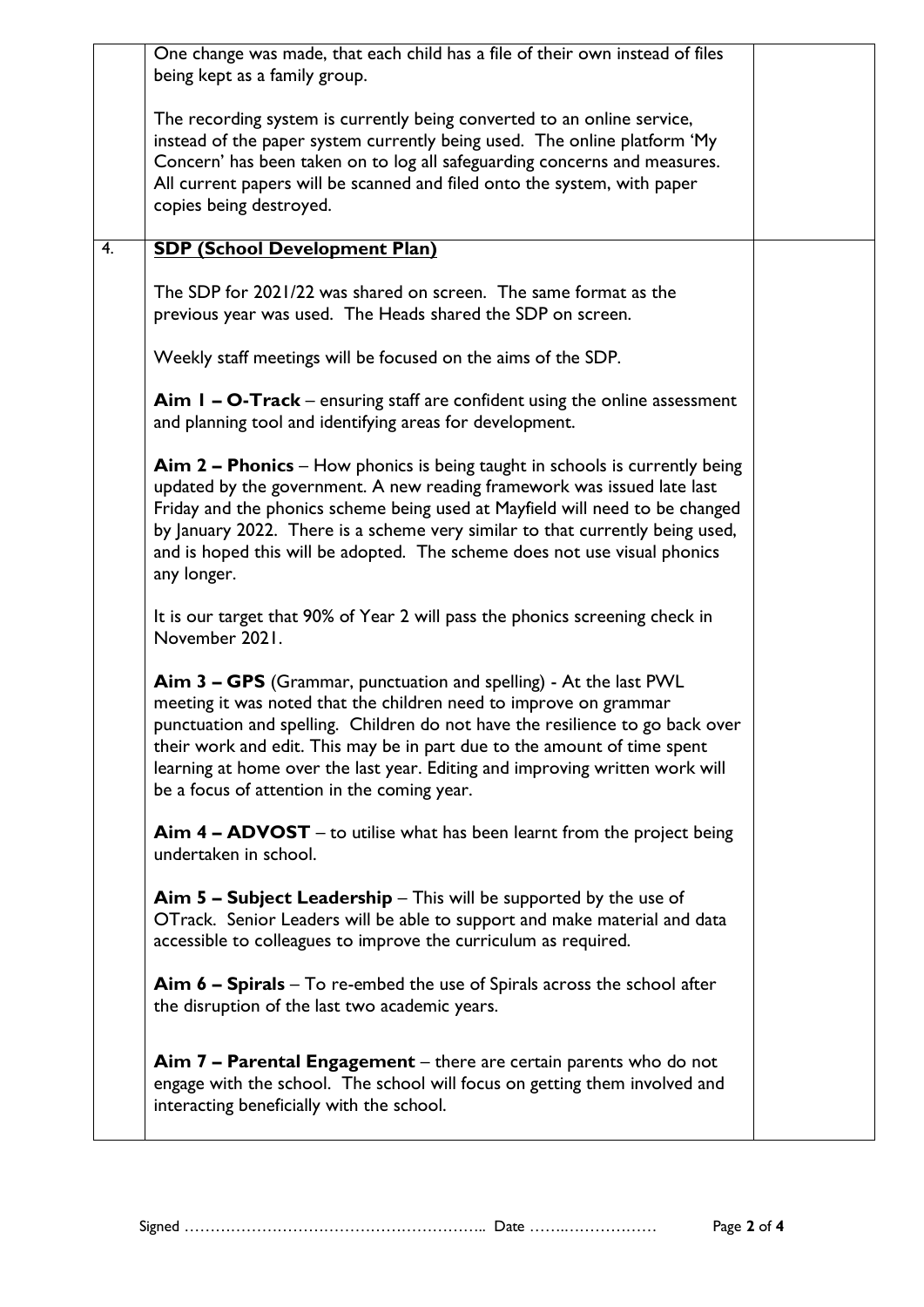|    | One change was made, that each child has a file of their own instead of files<br>being kept as a family group.                                                                                                                                                                                                                                                                                                                     |  |
|----|------------------------------------------------------------------------------------------------------------------------------------------------------------------------------------------------------------------------------------------------------------------------------------------------------------------------------------------------------------------------------------------------------------------------------------|--|
|    | The recording system is currently being converted to an online service,<br>instead of the paper system currently being used. The online platform 'My<br>Concern' has been taken on to log all safeguarding concerns and measures.<br>All current papers will be scanned and filed onto the system, with paper<br>copies being destroyed.                                                                                           |  |
| 4. | <b>SDP (School Development Plan)</b>                                                                                                                                                                                                                                                                                                                                                                                               |  |
|    | The SDP for 2021/22 was shared on screen. The same format as the<br>previous year was used. The Heads shared the SDP on screen.                                                                                                                                                                                                                                                                                                    |  |
|    | Weekly staff meetings will be focused on the aims of the SDP.                                                                                                                                                                                                                                                                                                                                                                      |  |
|    | Aim $I - O$ -Track – ensuring staff are confident using the online assessment<br>and planning tool and identifying areas for development.                                                                                                                                                                                                                                                                                          |  |
|    | Aim 2 – Phonics – How phonics is being taught in schools is currently being<br>updated by the government. A new reading framework was issued late last<br>Friday and the phonics scheme being used at Mayfield will need to be changed<br>by January 2022. There is a scheme very similar to that currently being used,<br>and is hoped this will be adopted. The scheme does not use visual phonics<br>any longer.                |  |
|    | It is our target that 90% of Year 2 will pass the phonics screening check in<br>November 2021.                                                                                                                                                                                                                                                                                                                                     |  |
|    | Aim 3 - GPS (Grammar, punctuation and spelling) - At the last PWL<br>meeting it was noted that the children need to improve on grammar<br>punctuation and spelling. Children do not have the resilience to go back over<br>their work and edit. This may be in part due to the amount of time spent<br>learning at home over the last year. Editing and improving written work will<br>be a focus of attention in the coming year. |  |
|    | <b>Aim 4 – ADVOST</b> – to utilise what has been learnt from the project being<br>undertaken in school.                                                                                                                                                                                                                                                                                                                            |  |
|    | Aim 5 - Subject Leadership - This will be supported by the use of<br>OTrack. Senior Leaders will be able to support and make material and data<br>accessible to colleagues to improve the curriculum as required.                                                                                                                                                                                                                  |  |
|    | <b>Aim <math>6 -</math> Spirals</b> $-$ To re-embed the use of Spirals across the school after<br>the disruption of the last two academic years.                                                                                                                                                                                                                                                                                   |  |
|    | Aim $7$ – Parental Engagement – there are certain parents who do not<br>engage with the school. The school will focus on getting them involved and<br>interacting beneficially with the school.                                                                                                                                                                                                                                    |  |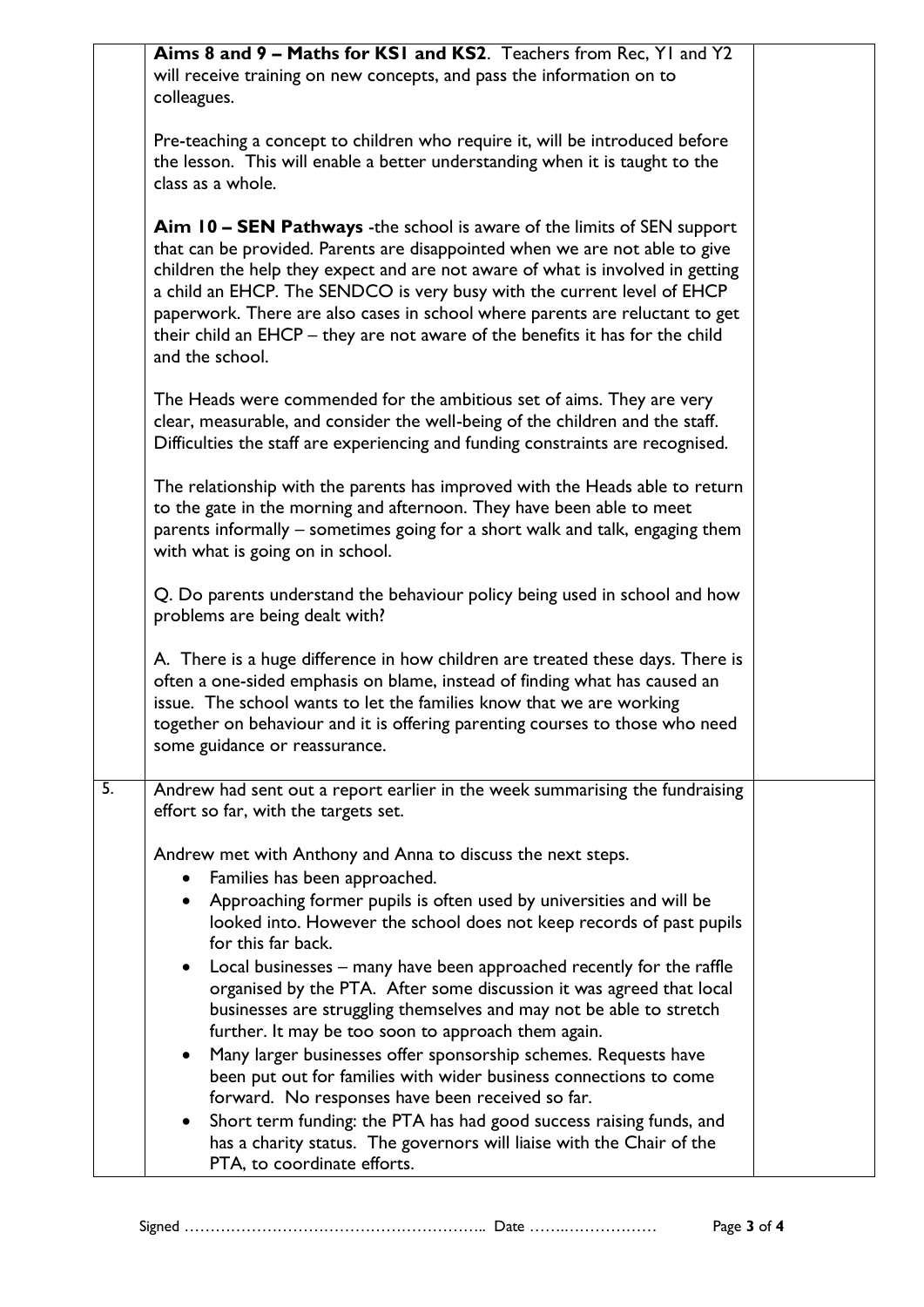| Aims 8 and 9 - Maths for KSI and KS2. Teachers from Rec, YI and Y2<br>will receive training on new concepts, and pass the information on to<br>colleagues.                                                                                                                                                                                                                                                                                                                                                                                                                                                                                                                                                                                                                                                                                                                                                                                                                     |  |
|--------------------------------------------------------------------------------------------------------------------------------------------------------------------------------------------------------------------------------------------------------------------------------------------------------------------------------------------------------------------------------------------------------------------------------------------------------------------------------------------------------------------------------------------------------------------------------------------------------------------------------------------------------------------------------------------------------------------------------------------------------------------------------------------------------------------------------------------------------------------------------------------------------------------------------------------------------------------------------|--|
| Pre-teaching a concept to children who require it, will be introduced before<br>the lesson. This will enable a better understanding when it is taught to the<br>class as a whole.                                                                                                                                                                                                                                                                                                                                                                                                                                                                                                                                                                                                                                                                                                                                                                                              |  |
| <b>Aim 10 – SEN Pathways</b> - the school is aware of the limits of SEN support<br>that can be provided. Parents are disappointed when we are not able to give<br>children the help they expect and are not aware of what is involved in getting<br>a child an EHCP. The SENDCO is very busy with the current level of EHCP<br>paperwork. There are also cases in school where parents are reluctant to get<br>their child an EHCP - they are not aware of the benefits it has for the child<br>and the school.                                                                                                                                                                                                                                                                                                                                                                                                                                                                |  |
| The Heads were commended for the ambitious set of aims. They are very<br>clear, measurable, and consider the well-being of the children and the staff.<br>Difficulties the staff are experiencing and funding constraints are recognised.                                                                                                                                                                                                                                                                                                                                                                                                                                                                                                                                                                                                                                                                                                                                      |  |
| The relationship with the parents has improved with the Heads able to return<br>to the gate in the morning and afternoon. They have been able to meet<br>parents informally – sometimes going for a short walk and talk, engaging them<br>with what is going on in school.                                                                                                                                                                                                                                                                                                                                                                                                                                                                                                                                                                                                                                                                                                     |  |
| Q. Do parents understand the behaviour policy being used in school and how<br>problems are being dealt with?                                                                                                                                                                                                                                                                                                                                                                                                                                                                                                                                                                                                                                                                                                                                                                                                                                                                   |  |
| A. There is a huge difference in how children are treated these days. There is<br>often a one-sided emphasis on blame, instead of finding what has caused an<br>issue. The school wants to let the families know that we are working<br>together on behaviour and it is offering parenting courses to those who need<br>some guidance or reassurance.                                                                                                                                                                                                                                                                                                                                                                                                                                                                                                                                                                                                                          |  |
| Andrew had sent out a report earlier in the week summarising the fundraising<br>effort so far, with the targets set.                                                                                                                                                                                                                                                                                                                                                                                                                                                                                                                                                                                                                                                                                                                                                                                                                                                           |  |
| Andrew met with Anthony and Anna to discuss the next steps.<br>Families has been approached.<br>$\bullet$<br>Approaching former pupils is often used by universities and will be<br>$\bullet$<br>looked into. However the school does not keep records of past pupils<br>for this far back.<br>Local businesses – many have been approached recently for the raffle<br>organised by the PTA. After some discussion it was agreed that local<br>businesses are struggling themselves and may not be able to stretch<br>further. It may be too soon to approach them again.<br>Many larger businesses offer sponsorship schemes. Requests have<br>$\bullet$<br>been put out for families with wider business connections to come<br>forward. No responses have been received so far.<br>Short term funding: the PTA has had good success raising funds, and<br>$\bullet$<br>has a charity status. The governors will liaise with the Chair of the<br>PTA, to coordinate efforts. |  |
|                                                                                                                                                                                                                                                                                                                                                                                                                                                                                                                                                                                                                                                                                                                                                                                                                                                                                                                                                                                |  |